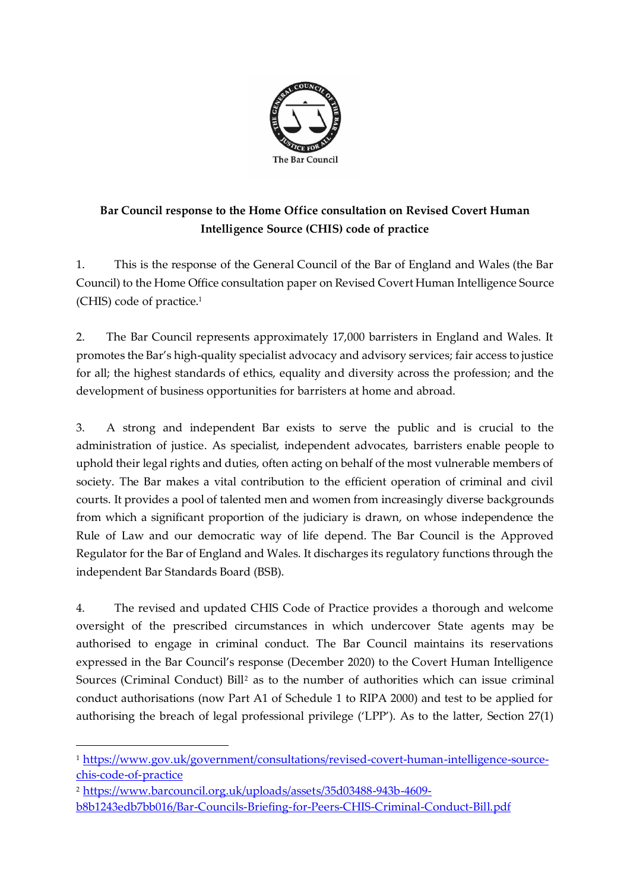

## **Bar Council response to the Home Office consultation on Revised Covert Human Intelligence Source (CHIS) code of practice**

1. This is the response of the General Council of the Bar of England and Wales (the Bar Council) to the Home Office consultation paper on Revised Covert Human Intelligence Source (CHIS) code of practice.<sup>1</sup>

2. The Bar Council represents approximately 17,000 barristers in England and Wales. It promotes the Bar's high-quality specialist advocacy and advisory services; fair access to justice for all; the highest standards of ethics, equality and diversity across the profession; and the development of business opportunities for barristers at home and abroad.

3. A strong and independent Bar exists to serve the public and is crucial to the administration of justice. As specialist, independent advocates, barristers enable people to uphold their legal rights and duties, often acting on behalf of the most vulnerable members of society. The Bar makes a vital contribution to the efficient operation of criminal and civil courts. It provides a pool of talented men and women from increasingly diverse backgrounds from which a significant proportion of the judiciary is drawn, on whose independence the Rule of Law and our democratic way of life depend. The Bar Council is the Approved Regulator for the Bar of England and Wales. It discharges its regulatory functions through the independent Bar Standards Board (BSB).

4. The revised and updated CHIS Code of Practice provides a thorough and welcome oversight of the prescribed circumstances in which undercover State agents may be authorised to engage in criminal conduct. The Bar Council maintains its reservations expressed in the Bar Council's response (December 2020) to the Covert Human Intelligence Sources (Criminal Conduct) Bill<sup>2</sup> as to the number of authorities which can issue criminal conduct authorisations (now Part A1 of Schedule 1 to RIPA 2000) and test to be applied for authorising the breach of legal professional privilege ('LPP'). As to the latter, Section 27(1)

<sup>1</sup> [https://www.gov.uk/government/consultations/revised-covert-human-intelligence-source](https://www.gov.uk/government/consultations/revised-covert-human-intelligence-source-chis-code-of-practice)[chis-code-of-practice](https://www.gov.uk/government/consultations/revised-covert-human-intelligence-source-chis-code-of-practice)

<sup>2</sup> [https://www.barcouncil.org.uk/uploads/assets/35d03488-943b-4609](https://www.barcouncil.org.uk/uploads/assets/35d03488-943b-4609-b8b1243edb7bb016/Bar-Councils-Briefing-for-Peers-CHIS-Criminal-Conduct-Bill.pdf) [b8b1243edb7bb016/Bar-Councils-Briefing-for-Peers-CHIS-Criminal-Conduct-Bill.pdf](https://www.barcouncil.org.uk/uploads/assets/35d03488-943b-4609-b8b1243edb7bb016/Bar-Councils-Briefing-for-Peers-CHIS-Criminal-Conduct-Bill.pdf)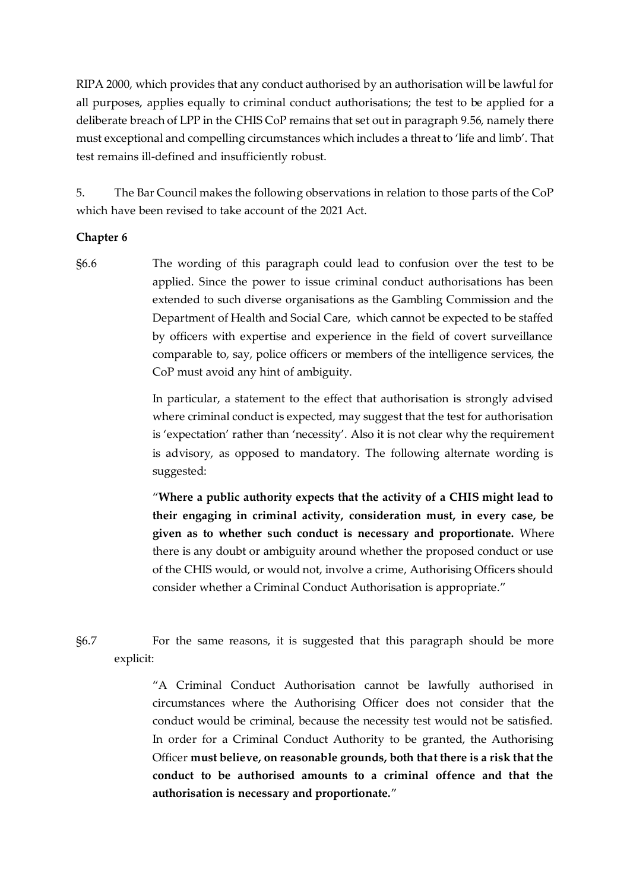RIPA 2000, which provides that any conduct authorised by an authorisation will be lawful for all purposes, applies equally to criminal conduct authorisations; the test to be applied for a deliberate breach of LPP in the CHIS CoP remains that set out in paragraph 9.56, namely there must exceptional and compelling circumstances which includes a threat to 'life and limb'. That test remains ill-defined and insufficiently robust.

5. The Bar Council makes the following observations in relation to those parts of the CoP which have been revised to take account of the 2021 Act.

## **Chapter 6**

§6.6 The wording of this paragraph could lead to confusion over the test to be applied. Since the power to issue criminal conduct authorisations has been extended to such diverse organisations as the Gambling Commission and the Department of Health and Social Care, which cannot be expected to be staffed by officers with expertise and experience in the field of covert surveillance comparable to, say, police officers or members of the intelligence services, the CoP must avoid any hint of ambiguity.

> In particular, a statement to the effect that authorisation is strongly advised where criminal conduct is expected, may suggest that the test for authorisation is 'expectation' rather than 'necessity'. Also it is not clear why the requirement is advisory, as opposed to mandatory. The following alternate wording is suggested:

> "**Where a public authority expects that the activity of a CHIS might lead to their engaging in criminal activity, consideration must, in every case, be given as to whether such conduct is necessary and proportionate.** Where there is any doubt or ambiguity around whether the proposed conduct or use of the CHIS would, or would not, involve a crime, Authorising Officers should consider whether a Criminal Conduct Authorisation is appropriate."

§6.7 For the same reasons, it is suggested that this paragraph should be more explicit:

> "A Criminal Conduct Authorisation cannot be lawfully authorised in circumstances where the Authorising Officer does not consider that the conduct would be criminal, because the necessity test would not be satisfied. In order for a Criminal Conduct Authority to be granted, the Authorising Officer **must believe, on reasonable grounds, both that there is a risk that the conduct to be authorised amounts to a criminal offence and that the authorisation is necessary and proportionate.**"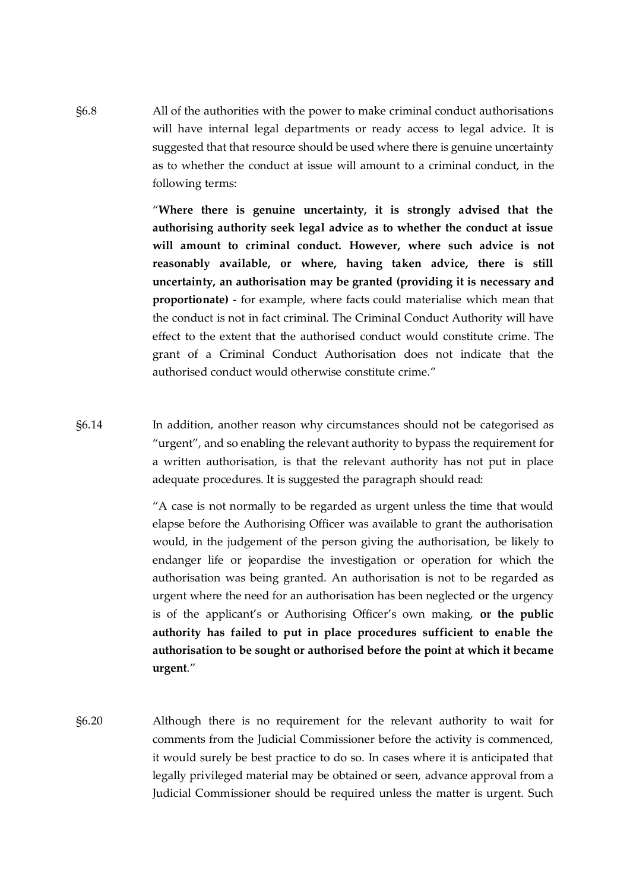§6.8 All of the authorities with the power to make criminal conduct authorisations will have internal legal departments or ready access to legal advice. It is suggested that that resource should be used where there is genuine uncertainty as to whether the conduct at issue will amount to a criminal conduct, in the following terms:

> "**Where there is genuine uncertainty, it is strongly advised that the authorising authority seek legal advice as to whether the conduct at issue will amount to criminal conduct. However, where such advice is not reasonably available, or where, having taken advice, there is still uncertainty, an authorisation may be granted (providing it is necessary and proportionate)** - for example, where facts could materialise which mean that the conduct is not in fact criminal. The Criminal Conduct Authority will have effect to the extent that the authorised conduct would constitute crime. The grant of a Criminal Conduct Authorisation does not indicate that the authorised conduct would otherwise constitute crime."

§6.14 In addition, another reason why circumstances should not be categorised as "urgent", and so enabling the relevant authority to bypass the requirement for a written authorisation, is that the relevant authority has not put in place adequate procedures. It is suggested the paragraph should read:

> "A case is not normally to be regarded as urgent unless the time that would elapse before the Authorising Officer was available to grant the authorisation would, in the judgement of the person giving the authorisation, be likely to endanger life or jeopardise the investigation or operation for which the authorisation was being granted. An authorisation is not to be regarded as urgent where the need for an authorisation has been neglected or the urgency is of the applicant's or Authorising Officer's own making, **or the public authority has failed to put in place procedures sufficient to enable the authorisation to be sought or authorised before the point at which it became urgent**."

§6.20 Although there is no requirement for the relevant authority to wait for comments from the Judicial Commissioner before the activity is commenced, it would surely be best practice to do so. In cases where it is anticipated that legally privileged material may be obtained or seen, advance approval from a Judicial Commissioner should be required unless the matter is urgent. Such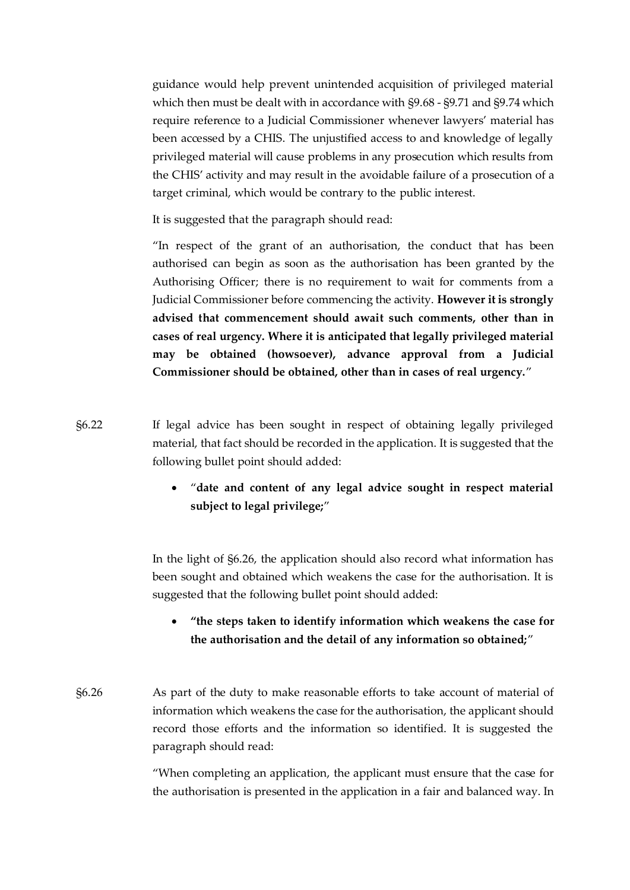guidance would help prevent unintended acquisition of privileged material which then must be dealt with in accordance with §9.68 - §9.71 and §9.74 which require reference to a Judicial Commissioner whenever lawyers' material has been accessed by a CHIS. The unjustified access to and knowledge of legally privileged material will cause problems in any prosecution which results from the CHIS' activity and may result in the avoidable failure of a prosecution of a target criminal, which would be contrary to the public interest.

It is suggested that the paragraph should read:

"In respect of the grant of an authorisation, the conduct that has been authorised can begin as soon as the authorisation has been granted by the Authorising Officer; there is no requirement to wait for comments from a Judicial Commissioner before commencing the activity. **However it is strongly advised that commencement should await such comments, other than in cases of real urgency. Where it is anticipated that legally privileged material may be obtained (howsoever), advance approval from a Judicial Commissioner should be obtained, other than in cases of real urgency.**"

- §6.22 If legal advice has been sought in respect of obtaining legally privileged material, that fact should be recorded in the application. It is suggested that the following bullet point should added:
	- "**date and content of any legal advice sought in respect material subject to legal privilege;**"

In the light of §6.26, the application should also record what information has been sought and obtained which weakens the case for the authorisation. It is suggested that the following bullet point should added:

- **"the steps taken to identify information which weakens the case for the authorisation and the detail of any information so obtained;**"
- §6.26 As part of the duty to make reasonable efforts to take account of material of information which weakens the case for the authorisation, the applicant should record those efforts and the information so identified. It is suggested the paragraph should read:

"When completing an application, the applicant must ensure that the case for the authorisation is presented in the application in a fair and balanced way. In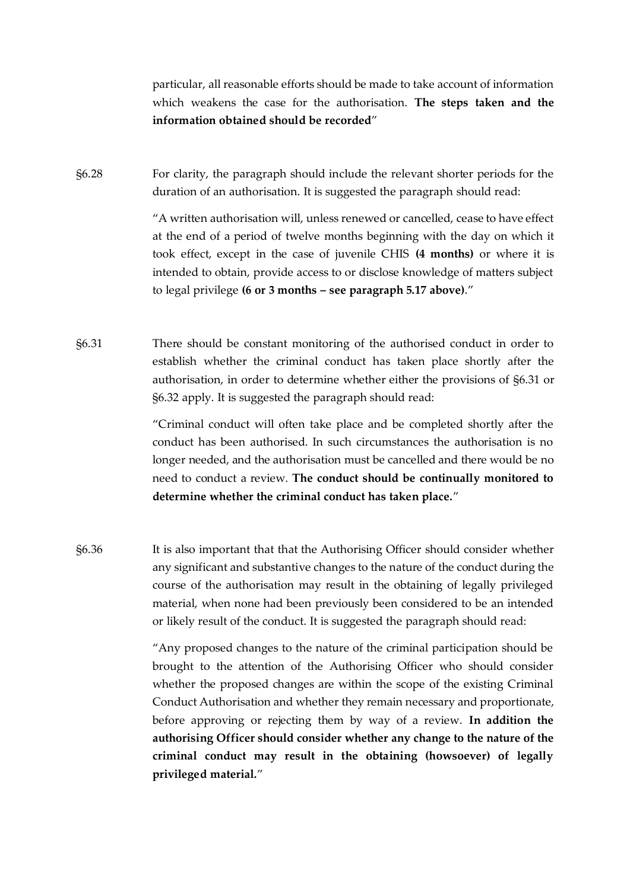particular, all reasonable efforts should be made to take account of information which weakens the case for the authorisation. **The steps taken and the information obtained should be recorded**"

§6.28 For clarity, the paragraph should include the relevant shorter periods for the duration of an authorisation. It is suggested the paragraph should read:

> "A written authorisation will, unless renewed or cancelled, cease to have effect at the end of a period of twelve months beginning with the day on which it took effect, except in the case of juvenile CHIS **(4 months)** or where it is intended to obtain, provide access to or disclose knowledge of matters subject to legal privilege **(6 or 3 months – see paragraph 5.17 above)**."

§6.31 There should be constant monitoring of the authorised conduct in order to establish whether the criminal conduct has taken place shortly after the authorisation, in order to determine whether either the provisions of §6.31 or §6.32 apply. It is suggested the paragraph should read:

> "Criminal conduct will often take place and be completed shortly after the conduct has been authorised. In such circumstances the authorisation is no longer needed, and the authorisation must be cancelled and there would be no need to conduct a review. **The conduct should be continually monitored to determine whether the criminal conduct has taken place.**"

§6.36 It is also important that that the Authorising Officer should consider whether any significant and substantive changes to the nature of the conduct during the course of the authorisation may result in the obtaining of legally privileged material, when none had been previously been considered to be an intended or likely result of the conduct. It is suggested the paragraph should read:

> "Any proposed changes to the nature of the criminal participation should be brought to the attention of the Authorising Officer who should consider whether the proposed changes are within the scope of the existing Criminal Conduct Authorisation and whether they remain necessary and proportionate, before approving or rejecting them by way of a review. **In addition the authorising Officer should consider whether any change to the nature of the criminal conduct may result in the obtaining (howsoever) of legally privileged material.**"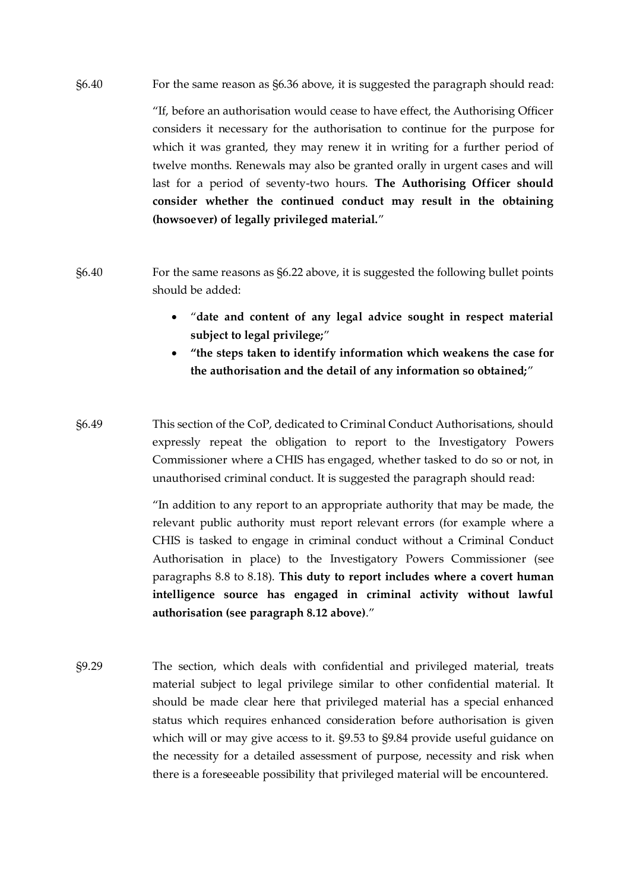§6.40 For the same reason as §6.36 above, it is suggested the paragraph should read:

"If, before an authorisation would cease to have effect, the Authorising Officer considers it necessary for the authorisation to continue for the purpose for which it was granted, they may renew it in writing for a further period of twelve months. Renewals may also be granted orally in urgent cases and will last for a period of seventy-two hours. **The Authorising Officer should consider whether the continued conduct may result in the obtaining (howsoever) of legally privileged material.**"

- §6.40 For the same reasons as §6.22 above, it is suggested the following bullet points should be added:
	- "**date and content of any legal advice sought in respect material subject to legal privilege;**"
	- **"the steps taken to identify information which weakens the case for the authorisation and the detail of any information so obtained;**"
- §6.49 This section of the CoP, dedicated to Criminal Conduct Authorisations, should expressly repeat the obligation to report to the Investigatory Powers Commissioner where a CHIS has engaged, whether tasked to do so or not, in unauthorised criminal conduct. It is suggested the paragraph should read:

"In addition to any report to an appropriate authority that may be made, the relevant public authority must report relevant errors (for example where a CHIS is tasked to engage in criminal conduct without a Criminal Conduct Authorisation in place) to the Investigatory Powers Commissioner (see paragraphs 8.8 to 8.18). **This duty to report includes where a covert human intelligence source has engaged in criminal activity without lawful authorisation (see paragraph 8.12 above)**."

§9.29 The section, which deals with confidential and privileged material, treats material subject to legal privilege similar to other confidential material. It should be made clear here that privileged material has a special enhanced status which requires enhanced consideration before authorisation is given which will or may give access to it. §9.53 to §9.84 provide useful guidance on the necessity for a detailed assessment of purpose, necessity and risk when there is a foreseeable possibility that privileged material will be encountered.